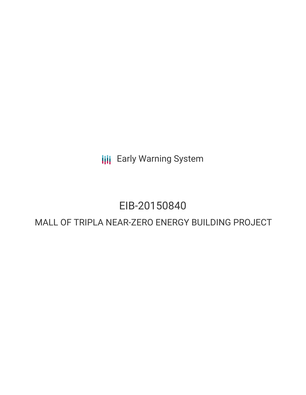**III** Early Warning System

# EIB-20150840

## MALL OF TRIPLA NEAR-ZERO ENERGY BUILDING PROJECT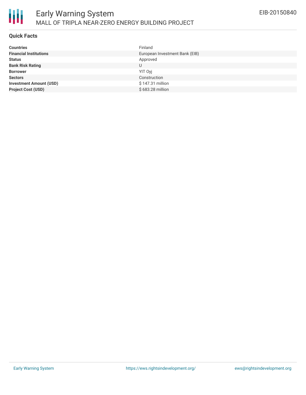

#### **Quick Facts**

| <b>Countries</b>               | Finland                        |
|--------------------------------|--------------------------------|
| <b>Financial Institutions</b>  | European Investment Bank (EIB) |
| <b>Status</b>                  | Approved                       |
| <b>Bank Risk Rating</b>        | U                              |
| <b>Borrower</b>                | YIT Ovi                        |
| <b>Sectors</b>                 | Construction                   |
| <b>Investment Amount (USD)</b> | \$147.31 million               |
| <b>Project Cost (USD)</b>      | \$683.28 million               |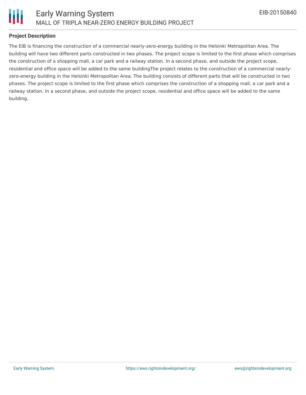

#### **Project Description**

The EIB is financing the construction of a commercial nearly-zero-energy building in the Helsinki Metropolitan Area. The building will have two different parts constructed in two phases. The project scope is limited to the first phase which comprises the construction of a shopping mall, a car park and a railway station. In a second phase, and outside the project scope, residential and office space will be added to the same buildingThe project relates to the construction of a commercial nearlyzero-energy building in the Helsinki Metropolitan Area. The building consists of different parts that will be constructed in two phases. The project scope is limited to the first phase which comprises the construction of a shopping mall, a car park and a railway station. In a second phase, and outside the project scope, residential and office space will be added to the same building.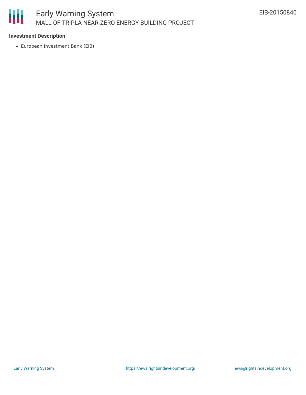

#### **Investment Description**

European Investment Bank (EIB)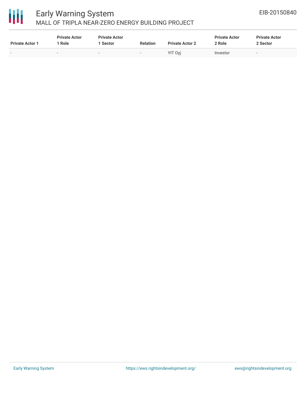

### Early Warning System MALL OF TRIPLA NEAR-ZERO ENERGY BUILDING PROJECT

| <b>Private Actor 1</b>   | <b>Private Actor</b><br>' Role | <b>Private Actor</b><br>l Sector | <b>Relation</b>          | <b>Private Actor 2</b> | <b>Private Actor</b><br>2 Role | <b>Private Actor</b><br>2 Sector |
|--------------------------|--------------------------------|----------------------------------|--------------------------|------------------------|--------------------------------|----------------------------------|
| $\overline{\phantom{0}}$ | $\overline{\phantom{a}}$       | $\overline{\phantom{0}}$         | $\overline{\phantom{0}}$ | YIT Ovi                | Investor                       | $\overline{\phantom{0}}$         |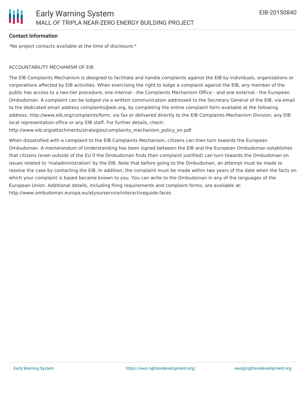

#### **Contact Information**

\*No project contacts available at the time of disclosure.\*

#### ACCOUNTABILITY MECHANISM OF EIB

The EIB Complaints Mechanism is designed to facilitate and handle complaints against the EIB by individuals, organizations or corporations affected by EIB activities. When exercising the right to lodge a complaint against the EIB, any member of the public has access to a two-tier procedure, one internal - the Complaints Mechanism Office - and one external - the European Ombudsman. A complaint can be lodged via a written communication addressed to the Secretary General of the EIB, via email to the dedicated email address complaints@eib.org, by completing the online complaint form available at the following address: http://www.eib.org/complaints/form, via fax or delivered directly to the EIB Complaints Mechanism Division, any EIB local representation office or any EIB staff. For further details, check:

http://www.eib.org/attachments/strategies/complaints\_mechanism\_policy\_en.pdf

When dissatisfied with a complaint to the EIB Complaints Mechanism, citizens can then turn towards the European Ombudsman. A memorandum of Understanding has been signed between the EIB and the European Ombudsman establishes that citizens (even outside of the EU if the Ombudsman finds their complaint justified) can turn towards the Ombudsman on issues related to 'maladministration' by the EIB. Note that before going to the Ombudsman, an attempt must be made to resolve the case by contacting the EIB. In addition, the complaint must be made within two years of the date when the facts on which your complaint is based became known to you. You can write to the Ombudsman in any of the languages of the European Union. Additional details, including filing requirements and complaint forms, are available at: http://www.ombudsman.europa.eu/atyourservice/interactiveguide.faces